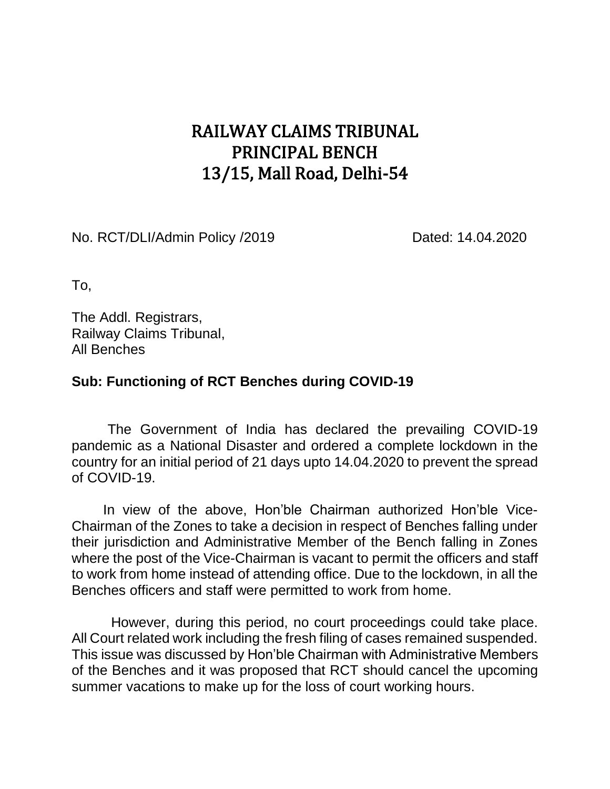## RAILWAY CLAIMS TRIBUNAL PRINCIPAL BENCH 13/15, Mall Road, Delhi-54

No. RCT/DLI/Admin Policy /2019 Dated: 14.04.2020

To,

The Addl. Registrars, Railway Claims Tribunal, All Benches

## **Sub: Functioning of RCT Benches during COVID-19**

The Government of India has declared the prevailing COVID-19 pandemic as a National Disaster and ordered a complete lockdown in the country for an initial period of 21 days upto 14.04.2020 to prevent the spread of COVID-19.

In view of the above, Hon'ble Chairman authorized Hon'ble Vice-Chairman of the Zones to take a decision in respect of Benches falling under their jurisdiction and Administrative Member of the Bench falling in Zones where the post of the Vice-Chairman is vacant to permit the officers and staff to work from home instead of attending office. Due to the lockdown, in all the Benches officers and staff were permitted to work from home.

 However, during this period, no court proceedings could take place. All Court related work including the fresh filing of cases remained suspended. This issue was discussed by Hon'ble Chairman with Administrative Members of the Benches and it was proposed that RCT should cancel the upcoming summer vacations to make up for the loss of court working hours.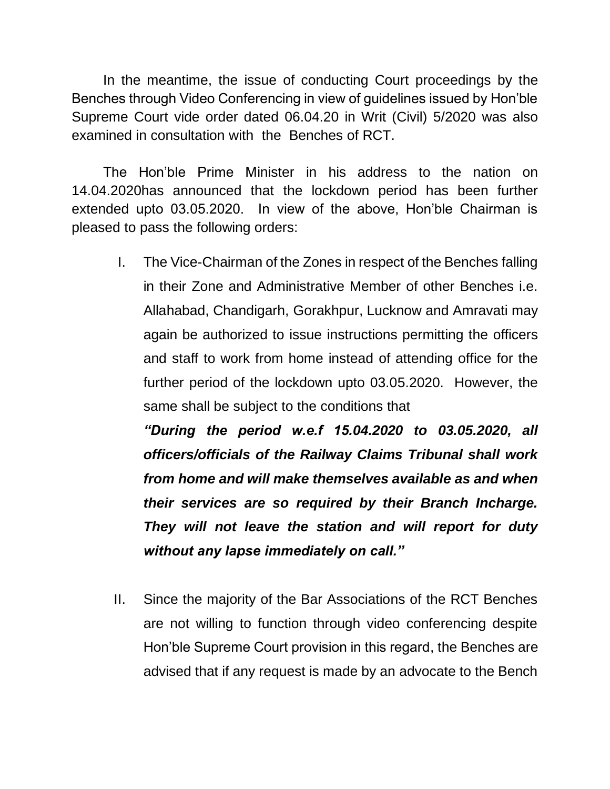In the meantime, the issue of conducting Court proceedings by the Benches through Video Conferencing in view of guidelines issued by Hon'ble Supreme Court vide order dated 06.04.20 in Writ (Civil) 5/2020 was also examined in consultation with the Benches of RCT.

The Hon'ble Prime Minister in his address to the nation on 14.04.2020has announced that the lockdown period has been further extended upto 03.05.2020. In view of the above, Hon'ble Chairman is pleased to pass the following orders:

I. The Vice-Chairman of the Zones in respect of the Benches falling in their Zone and Administrative Member of other Benches i.e. Allahabad, Chandigarh, Gorakhpur, Lucknow and Amravati may again be authorized to issue instructions permitting the officers and staff to work from home instead of attending office for the further period of the lockdown upto 03.05.2020. However, the same shall be subject to the conditions that

*"During the period w.e.f 15.04.2020 to 03.05.2020, all officers/officials of the Railway Claims Tribunal shall work from home and will make themselves available as and when their services are so required by their Branch Incharge. They will not leave the station and will report for duty without any lapse immediately on call."*

II. Since the majority of the Bar Associations of the RCT Benches are not willing to function through video conferencing despite Hon'ble Supreme Court provision in this regard, the Benches are advised that if any request is made by an advocate to the Bench